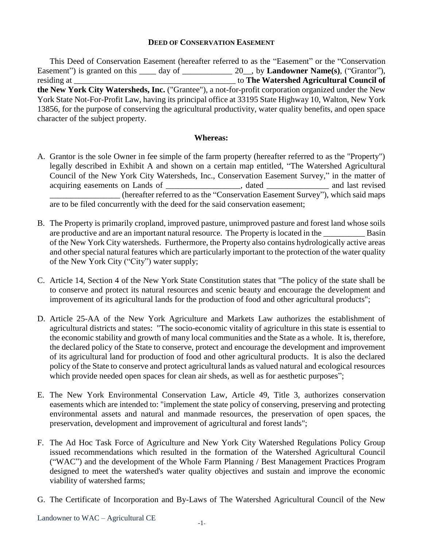#### **DEED OF CONSERVATION EASEMENT**

This Deed of Conservation Easement (hereafter referred to as the "Easement" or the "Conservation Easement") is granted on this \_\_\_\_ day of \_\_\_\_\_\_\_\_\_\_\_\_ 20\_, by **Landowner Name(s)**, ("Grantor"), residing at \_\_\_\_\_\_\_\_\_\_\_\_\_\_\_\_\_\_\_\_\_\_\_\_\_\_\_\_\_\_\_\_\_\_\_\_\_\_\_ to **The Watershed Agricultural Council of the New York City Watersheds, Inc.** ("Grantee"), a not-for-profit corporation organized under the New York State Not-For-Profit Law, having its principal office at 33195 State Highway 10, Walton, New York 13856, for the purpose of conserving the agricultural productivity, water quality benefits, and open space character of the subject property.

#### **Whereas:**

- A. Grantor is the sole Owner in fee simple of the farm property (hereafter referred to as the "Property") legally described in Exhibit A and shown on a certain map entitled, "The Watershed Agricultural Council of the New York City Watersheds, Inc., Conservation Easement Survey," in the matter of acquiring easements on Lands of \_\_\_\_\_\_\_\_\_\_\_\_\_\_\_\_, dated \_\_\_\_\_\_\_\_\_\_\_\_\_\_\_ and last revised (hereafter referred to as the "Conservation Easement Survey"), which said maps are to be filed concurrently with the deed for the said conservation easement;
- B. The Property is primarily cropland, improved pasture, unimproved pasture and forest land whose soils are productive and are an important natural resource. The Property is located in the Basin of the New York City watersheds. Furthermore, the Property also contains hydrologically active areas and other special natural features which are particularly important to the protection of the water quality of the New York City ("City") water supply;
- C. Article 14, Section 4 of the New York State Constitution states that "The policy of the state shall be to conserve and protect its natural resources and scenic beauty and encourage the development and improvement of its agricultural lands for the production of food and other agricultural products";
- D. Article 25-AA of the New York Agriculture and Markets Law authorizes the establishment of agricultural districts and states: "The socio-economic vitality of agriculture in this state is essential to the economic stability and growth of many local communities and the State as a whole. It is, therefore, the declared policy of the State to conserve, protect and encourage the development and improvement of its agricultural land for production of food and other agricultural products. It is also the declared policy of the State to conserve and protect agricultural lands as valued natural and ecological resources which provide needed open spaces for clean air sheds, as well as for aesthetic purposes";
- E. The New York Environmental Conservation Law, Article 49, Title 3, authorizes conservation easements which are intended to: "implement the state policy of conserving, preserving and protecting environmental assets and natural and manmade resources, the preservation of open spaces, the preservation, development and improvement of agricultural and forest lands";
- F. The Ad Hoc Task Force of Agriculture and New York City Watershed Regulations Policy Group issued recommendations which resulted in the formation of the Watershed Agricultural Council ("WAC") and the development of the Whole Farm Planning / Best Management Practices Program designed to meet the watershed's water quality objectives and sustain and improve the economic viability of watershed farms;
- G. The Certificate of Incorporation and By-Laws of The Watershed Agricultural Council of the New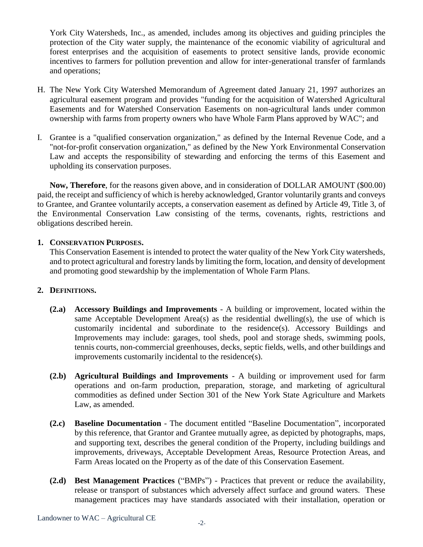York City Watersheds, Inc., as amended, includes among its objectives and guiding principles the protection of the City water supply, the maintenance of the economic viability of agricultural and forest enterprises and the acquisition of easements to protect sensitive lands, provide economic incentives to farmers for pollution prevention and allow for inter-generational transfer of farmlands and operations;

- H. The New York City Watershed Memorandum of Agreement dated January 21, 1997 authorizes an agricultural easement program and provides "funding for the acquisition of Watershed Agricultural Easements and for Watershed Conservation Easements on non-agricultural lands under common ownership with farms from property owners who have Whole Farm Plans approved by WAC"; and
- I. Grantee is a "qualified conservation organization," as defined by the Internal Revenue Code, and a "not-for-profit conservation organization," as defined by the New York Environmental Conservation Law and accepts the responsibility of stewarding and enforcing the terms of this Easement and upholding its conservation purposes.

**Now, Therefore**, for the reasons given above, and in consideration of DOLLAR AMOUNT (\$00.00) paid, the receipt and sufficiency of which is hereby acknowledged, Grantor voluntarily grants and conveys to Grantee, and Grantee voluntarily accepts, a conservation easement as defined by Article 49, Title 3, of the Environmental Conservation Law consisting of the terms, covenants, rights, restrictions and obligations described herein.

## **1. CONSERVATION PURPOSES.**

This Conservation Easement is intended to protect the water quality of the New York City watersheds, and to protect agricultural and forestry lands by limiting the form, location, and density of development and promoting good stewardship by the implementation of Whole Farm Plans.

## **2. DEFINITIONS.**

- **(2.a) Accessory Buildings and Improvements** A building or improvement, located within the same Acceptable Development Area(s) as the residential dwelling(s), the use of which is customarily incidental and subordinate to the residence(s). Accessory Buildings and Improvements may include: garages, tool sheds, pool and storage sheds, swimming pools, tennis courts, non-commercial greenhouses, decks, septic fields, wells, and other buildings and improvements customarily incidental to the residence(s).
- **(2.b) Agricultural Buildings and Improvements** A building or improvement used for farm operations and on-farm production, preparation, storage, and marketing of agricultural commodities as defined under Section 301 of the New York State Agriculture and Markets Law, as amended.
- **(2.c) Baseline Documentation** The document entitled "Baseline Documentation", incorporated by this reference, that Grantor and Grantee mutually agree, as depicted by photographs, maps, and supporting text, describes the general condition of the Property, including buildings and improvements, driveways, Acceptable Development Areas, Resource Protection Areas, and Farm Areas located on the Property as of the date of this Conservation Easement.
- **(2.d) Best Management Practices** ("BMPs") Practices that prevent or reduce the availability, release or transport of substances which adversely affect surface and ground waters. These management practices may have standards associated with their installation, operation or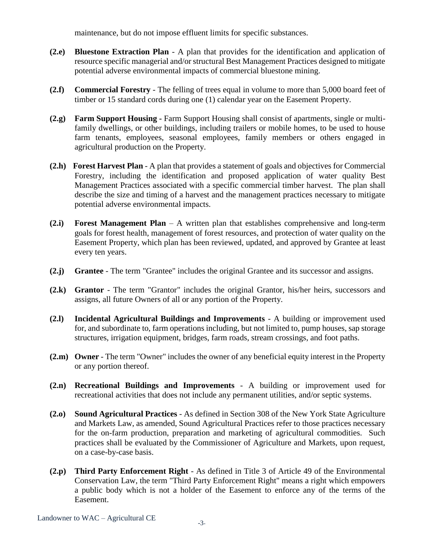maintenance, but do not impose effluent limits for specific substances.

- **(2.e) Bluestone Extraction Plan** A plan that provides for the identification and application of resource specific managerial and/or structural Best Management Practices designed to mitigate potential adverse environmental impacts of commercial bluestone mining.
- **(2.f) Commercial Forestry** The felling of trees equal in volume to more than 5,000 board feet of timber or 15 standard cords during one (1) calendar year on the Easement Property.
- **(2.g) Farm Support Housing -** Farm Support Housing shall consist of apartments, single or multifamily dwellings, or other buildings, including trailers or mobile homes, to be used to house farm tenants, employees, seasonal employees, family members or others engaged in agricultural production on the Property.
- **(2.h) Forest Harvest Plan** A plan that provides a statement of goals and objectives for Commercial Forestry, including the identification and proposed application of water quality Best Management Practices associated with a specific commercial timber harvest. The plan shall describe the size and timing of a harvest and the management practices necessary to mitigate potential adverse environmental impacts.
- **(2.i) Forest Management Plan** A written plan that establishes comprehensive and long-term goals for forest health, management of forest resources, and protection of water quality on the Easement Property, which plan has been reviewed, updated, and approved by Grantee at least every ten years.
- **(2.j) Grantee** The term "Grantee" includes the original Grantee and its successor and assigns.
- **(2.k) Grantor** The term "Grantor" includes the original Grantor, his/her heirs, successors and assigns, all future Owners of all or any portion of the Property.
- **(2.l) Incidental Agricultural Buildings and Improvements** A building or improvement used for, and subordinate to, farm operations including, but not limited to, pump houses, sap storage structures, irrigation equipment, bridges, farm roads, stream crossings, and foot paths.
- **(2.m) Owner** The term "Owner" includes the owner of any beneficial equity interest in the Property or any portion thereof.
- **(2.n) Recreational Buildings and Improvements**  A building or improvement used for recreational activities that does not include any permanent utilities, and/or septic systems.
- **(2.o) Sound Agricultural Practices** As defined in Section 308 of the New York State Agriculture and Markets Law, as amended, Sound Agricultural Practices refer to those practices necessary for the on-farm production, preparation and marketing of agricultural commodities. Such practices shall be evaluated by the Commissioner of Agriculture and Markets, upon request, on a case-by-case basis.
- **(2.p) Third Party Enforcement Right** As defined in Title 3 of Article 49 of the Environmental Conservation Law, the term "Third Party Enforcement Right" means a right which empowers a public body which is not a holder of the Easement to enforce any of the terms of the Easement.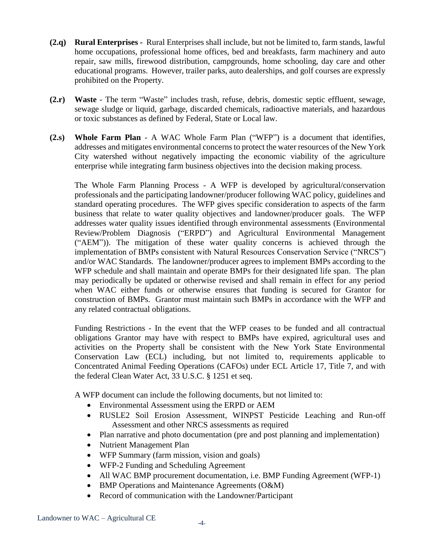- **(2.q) Rural Enterprises -** Rural Enterprises shall include, but not be limited to, farm stands, lawful home occupations, professional home offices, bed and breakfasts, farm machinery and auto repair, saw mills, firewood distribution, campgrounds, home schooling, day care and other educational programs. However, trailer parks, auto dealerships, and golf courses are expressly prohibited on the Property.
- **(2.r) Waste** The term "Waste" includes trash, refuse, debris, domestic septic effluent, sewage, sewage sludge or liquid, garbage, discarded chemicals, radioactive materials, and hazardous or toxic substances as defined by Federal, State or Local law.
- **(2.s) Whole Farm Plan** A WAC Whole Farm Plan ("WFP") is a document that identifies, addresses and mitigates environmental concerns to protect the water resources of the New York City watershed without negatively impacting the economic viability of the agriculture enterprise while integrating farm business objectives into the decision making process.

The Whole Farm Planning Process - A WFP is developed by agricultural/conservation professionals and the participating landowner/producer following WAC policy, guidelines and standard operating procedures. The WFP gives specific consideration to aspects of the farm business that relate to water quality objectives and landowner/producer goals. The WFP addresses water quality issues identified through environmental assessments (Environmental Review/Problem Diagnosis ("ERPD") and Agricultural Environmental Management ("AEM")). The mitigation of these water quality concerns is achieved through the implementation of BMPs consistent with Natural Resources Conservation Service ("NRCS") and/or WAC Standards. The landowner/producer agrees to implement BMPs according to the WFP schedule and shall maintain and operate BMPs for their designated life span. The plan may periodically be updated or otherwise revised and shall remain in effect for any period when WAC either funds or otherwise ensures that funding is secured for Grantor for construction of BMPs. Grantor must maintain such BMPs in accordance with the WFP and any related contractual obligations.

Funding Restrictions - In the event that the WFP ceases to be funded and all contractual obligations Grantor may have with respect to BMPs have expired, agricultural uses and activities on the Property shall be consistent with the New York State Environmental Conservation Law (ECL) including, but not limited to, requirements applicable to Concentrated Animal Feeding Operations (CAFOs) under ECL Article 17, Title 7, and with the federal Clean Water Act, 33 U.S.C. § 1251 et seq.

A WFP document can include the following documents, but not limited to:

- Environmental Assessment using the ERPD or AEM
- RUSLE2 Soil Erosion Assessment, WINPST Pesticide Leaching and Run-off Assessment and other NRCS assessments as required
- Plan narrative and photo documentation (pre and post planning and implementation)
- Nutrient Management Plan
- WFP Summary (farm mission, vision and goals)
- WFP-2 Funding and Scheduling Agreement
- All WAC BMP procurement documentation, i.e. BMP Funding Agreement (WFP-1)
- BMP Operations and Maintenance Agreements (O&M)
- Record of communication with the Landowner/Participant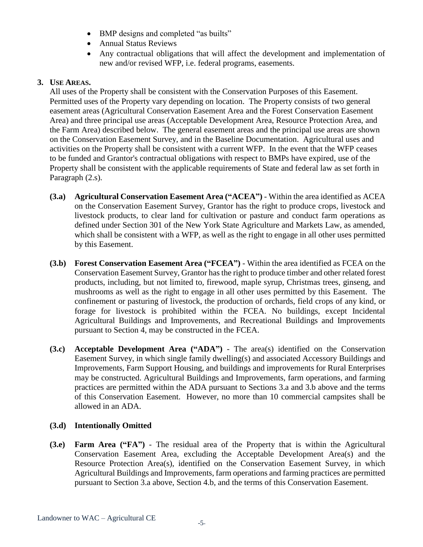- BMP designs and completed "as builts"
- Annual Status Reviews
- Any contractual obligations that will affect the development and implementation of new and/or revised WFP, i.e. federal programs, easements.

## **3. USE AREAS.**

All uses of the Property shall be consistent with the Conservation Purposes of this Easement. Permitted uses of the Property vary depending on location. The Property consists of two general easement areas (Agricultural Conservation Easement Area and the Forest Conservation Easement Area) and three principal use areas (Acceptable Development Area, Resource Protection Area, and the Farm Area) described below. The general easement areas and the principal use areas are shown on the Conservation Easement Survey, and in the Baseline Documentation. Agricultural uses and activities on the Property shall be consistent with a current WFP. In the event that the WFP ceases to be funded and Grantor's contractual obligations with respect to BMPs have expired, use of the Property shall be consistent with the applicable requirements of State and federal law as set forth in Paragraph (2.s).

- **(3.a) Agricultural Conservation Easement Area ("ACEA")** Within the area identified as ACEA on the Conservation Easement Survey, Grantor has the right to produce crops, livestock and livestock products, to clear land for cultivation or pasture and conduct farm operations as defined under Section 301 of the New York State Agriculture and Markets Law, as amended, which shall be consistent with a WFP, as well as the right to engage in all other uses permitted by this Easement.
- **(3.b) Forest Conservation Easement Area ("FCEA")** Within the area identified as FCEA on the Conservation Easement Survey, Grantor has the right to produce timber and other related forest products, including, but not limited to, firewood, maple syrup, Christmas trees, ginseng, and mushrooms as well as the right to engage in all other uses permitted by this Easement. The confinement or pasturing of livestock, the production of orchards, field crops of any kind, or forage for livestock is prohibited within the FCEA. No buildings, except Incidental Agricultural Buildings and Improvements, and Recreational Buildings and Improvements pursuant to Section 4, may be constructed in the FCEA.
- **(3.c) Acceptable Development Area ("ADA")** The area(s) identified on the Conservation Easement Survey, in which single family dwelling(s) and associated Accessory Buildings and Improvements, Farm Support Housing, and buildings and improvements for Rural Enterprises may be constructed. Agricultural Buildings and Improvements, farm operations, and farming practices are permitted within the ADA pursuant to Sections 3.a and 3.b above and the terms of this Conservation Easement. However, no more than 10 commercial campsites shall be allowed in an ADA.

# **(3.d) Intentionally Omitted**

**(3.e) Farm Area ("FA")** - The residual area of the Property that is within the Agricultural Conservation Easement Area, excluding the Acceptable Development Area(s) and the Resource Protection Area(s), identified on the Conservation Easement Survey, in which Agricultural Buildings and Improvements, farm operations and farming practices are permitted pursuant to Section 3.a above, Section 4.b, and the terms of this Conservation Easement.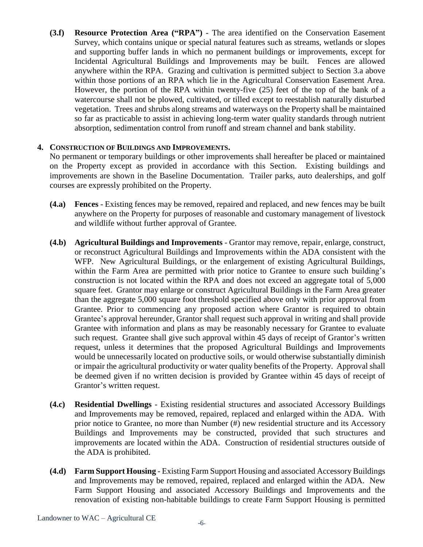**(3.f) Resource Protection Area ("RPA")** - The area identified on the Conservation Easement Survey, which contains unique or special natural features such as streams, wetlands or slopes and supporting buffer lands in which no permanent buildings or improvements, except for Incidental Agricultural Buildings and Improvements may be built. Fences are allowed anywhere within the RPA. Grazing and cultivation is permitted subject to Section 3.a above within those portions of an RPA which lie in the Agricultural Conservation Easement Area. However, the portion of the RPA within twenty-five (25) feet of the top of the bank of a watercourse shall not be plowed, cultivated, or tilled except to reestablish naturally disturbed vegetation. Trees and shrubs along streams and waterways on the Property shall be maintained so far as practicable to assist in achieving long-term water quality standards through nutrient absorption, sedimentation control from runoff and stream channel and bank stability.

## **4. CONSTRUCTION OF BUILDINGS AND IMPROVEMENTS.**

No permanent or temporary buildings or other improvements shall hereafter be placed or maintained on the Property except as provided in accordance with this Section. Existing buildings and improvements are shown in the Baseline Documentation. Trailer parks, auto dealerships, and golf courses are expressly prohibited on the Property.

- **(4.a) Fences** Existing fences may be removed, repaired and replaced, and new fences may be built anywhere on the Property for purposes of reasonable and customary management of livestock and wildlife without further approval of Grantee.
- **(4.b) Agricultural Buildings and Improvements** Grantor may remove, repair, enlarge, construct, or reconstruct Agricultural Buildings and Improvements within the ADA consistent with the WFP. New Agricultural Buildings, or the enlargement of existing Agricultural Buildings, within the Farm Area are permitted with prior notice to Grantee to ensure such building's construction is not located within the RPA and does not exceed an aggregate total of 5,000 square feet. Grantor may enlarge or construct Agricultural Buildings in the Farm Area greater than the aggregate 5,000 square foot threshold specified above only with prior approval from Grantee. Prior to commencing any proposed action where Grantor is required to obtain Grantee's approval hereunder, Grantor shall request such approval in writing and shall provide Grantee with information and plans as may be reasonably necessary for Grantee to evaluate such request. Grantee shall give such approval within 45 days of receipt of Grantor's written request, unless it determines that the proposed Agricultural Buildings and Improvements would be unnecessarily located on productive soils, or would otherwise substantially diminish or impair the agricultural productivity or water quality benefits of the Property. Approval shall be deemed given if no written decision is provided by Grantee within 45 days of receipt of Grantor's written request.
- **(4.c) Residential Dwellings** Existing residential structures and associated Accessory Buildings and Improvements may be removed, repaired, replaced and enlarged within the ADA. With prior notice to Grantee, no more than Number (#) new residential structure and its Accessory Buildings and Improvements may be constructed, provided that such structures and improvements are located within the ADA. Construction of residential structures outside of the ADA is prohibited.
- **(4.d) Farm Support Housing** Existing Farm Support Housing and associated Accessory Buildings and Improvements may be removed, repaired, replaced and enlarged within the ADA. New Farm Support Housing and associated Accessory Buildings and Improvements and the renovation of existing non-habitable buildings to create Farm Support Housing is permitted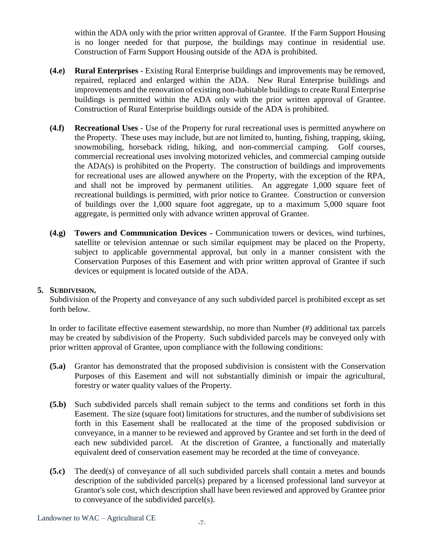within the ADA only with the prior written approval of Grantee. If the Farm Support Housing is no longer needed for that purpose, the buildings may continue in residential use. Construction of Farm Support Housing outside of the ADA is prohibited.

- **(4.e) Rural Enterprises** Existing Rural Enterprise buildings and improvements may be removed, repaired, replaced and enlarged within the ADA. New Rural Enterprise buildings and improvements and the renovation of existing non-habitable buildings to create Rural Enterprise buildings is permitted within the ADA only with the prior written approval of Grantee. Construction of Rural Enterprise buildings outside of the ADA is prohibited.
- **(4.f) Recreational Uses** Use of the Property for rural recreational uses is permitted anywhere on the Property. These uses may include, but are not limited to, hunting, fishing, trapping, skiing, snowmobiling, horseback riding, hiking, and non-commercial camping. Golf courses, commercial recreational uses involving motorized vehicles, and commercial camping outside the ADA(s) is prohibited on the Property. The construction of buildings and improvements for recreational uses are allowed anywhere on the Property, with the exception of the RPA, and shall not be improved by permanent utilities. An aggregate 1,000 square feet of recreational buildings is permitted, with prior notice to Grantee. Construction or conversion of buildings over the 1,000 square foot aggregate, up to a maximum 5,000 square foot aggregate, is permitted only with advance written approval of Grantee.
- **(4.g) Towers and Communication Devices -** Communication towers or devices, wind turbines, satellite or television antennae or such similar equipment may be placed on the Property, subject to applicable governmental approval, but only in a manner consistent with the Conservation Purposes of this Easement and with prior written approval of Grantee if such devices or equipment is located outside of the ADA.

#### **5. SUBDIVISION.**

Subdivision of the Property and conveyance of any such subdivided parcel is prohibited except as set forth below.

In order to facilitate effective easement stewardship, no more than Number (#) additional tax parcels may be created by subdivision of the Property. Such subdivided parcels may be conveyed only with prior written approval of Grantee, upon compliance with the following conditions:

- **(5.a)** Grantor has demonstrated that the proposed subdivision is consistent with the Conservation Purposes of this Easement and will not substantially diminish or impair the agricultural, forestry or water quality values of the Property.
- **(5.b)** Such subdivided parcels shall remain subject to the terms and conditions set forth in this Easement. The size (square foot) limitations for structures, and the number of subdivisions set forth in this Easement shall be reallocated at the time of the proposed subdivision or conveyance, in a manner to be reviewed and approved by Grantee and set forth in the deed of each new subdivided parcel. At the discretion of Grantee, a functionally and materially equivalent deed of conservation easement may be recorded at the time of conveyance.
- **(5.c)** The deed(s) of conveyance of all such subdivided parcels shall contain a metes and bounds description of the subdivided parcel(s) prepared by a licensed professional land surveyor at Grantor's sole cost, which description shall have been reviewed and approved by Grantee prior to conveyance of the subdivided parcel(s).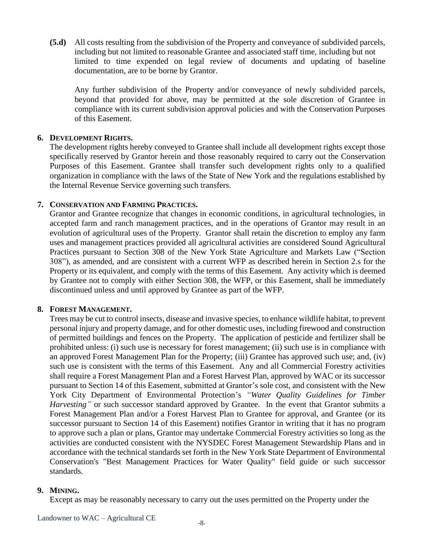**(5.d)** All costs resulting from the subdivision of the Property and conveyance of subdivided parcels, including but not limited to reasonable Grantee and associated staff time, including but not limited to time expended on legal review of documents and updating of baseline documentation, are to be borne by Grantor.

Any further subdivision of the Property and/or conveyance of newly subdivided parcels, beyond that provided for above, may be permitted at the sole discretion of Grantee in compliance with its current subdivision approval policies and with the Conservation Purposes of this Easement.

## **6. DEVELOPMENT RIGHTS.**

The development rights hereby conveyed to Grantee shall include all development rights except those specifically reserved by Grantor herein and those reasonably required to carry out the Conservation Purposes of this Easement. Grantee shall transfer such development rights only to a qualified organization in compliance with the laws of the State of New York and the regulations established by the Internal Revenue Service governing such transfers.

## **7. CONSERVATION AND FARMING PRACTICES.**

Grantor and Grantee recognize that changes in economic conditions, in agricultural technologies, in accepted farm and ranch management practices, and in the operations of Grantor may result in an evolution of agricultural uses of the Property. Grantor shall retain the discretion to employ any farm uses and management practices provided all agricultural activities are considered Sound Agricultural Practices pursuant to Section 308 of the New York State Agriculture and Markets Law ("Section 308"), as amended, and are consistent with a current WFP as described herein in Section 2.s for the Property or its equivalent, and comply with the terms of this Easement. Any activity which is deemed by Grantee not to comply with either Section 308, the WFP, or this Easement, shall be immediately discontinued unless and until approved by Grantee as part of the WFP.

#### **8. FOREST MANAGEMENT.**

Trees may be cut to control insects, disease and invasive species, to enhance wildlife habitat, to prevent personal injury and property damage, and for other domestic uses, including firewood and construction of permitted buildings and fences on the Property. The application of pesticide and fertilizer shall be prohibited unless: (i) such use is necessary for forest management; (ii) such use is in compliance with an approved Forest Management Plan for the Property; (iii) Grantee has approved such use; and, (iv) such use is consistent with the terms of this Easement. Any and all Commercial Forestry activities shall require a Forest Management Plan and a Forest Harvest Plan, approved by WAC or its successor pursuant to Section 14 of this Easement, submitted at Grantor's sole cost, and consistent with the New York City Department of Environmental Protection's *"Water Quality Guidelines for Timber Harvesting"* or such successor standard approved by Grantee. In the event that Grantor submits a Forest Management Plan and/or a Forest Harvest Plan to Grantee for approval, and Grantee (or its successor pursuant to Section 14 of this Easement) notifies Grantor in writing that it has no program to approve such a plan or plans, Grantor may undertake Commercial Forestry activities so long as the activities are conducted consistent with the NYSDEC Forest Management Stewardship Plans and in accordance with the technical standards set forth in the New York State Department of Environmental Conservation's "Best Management Practices for Water Quality" field guide or such successor standards.

#### **9. MINING.**

Except as may be reasonably necessary to carry out the uses permitted on the Property under the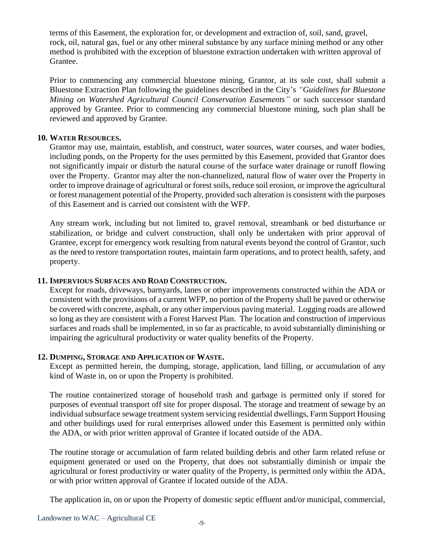terms of this Easement, the exploration for, or development and extraction of, soil, sand, gravel, rock, oil, natural gas, fuel or any other mineral substance by any surface mining method or any other method is prohibited with the exception of bluestone extraction undertaken with written approval of Grantee.

Prior to commencing any commercial bluestone mining, Grantor, at its sole cost, shall submit a Bluestone Extraction Plan following the guidelines described in the City's *"Guidelines for Bluestone Mining on Watershed Agricultural Council Conservation Easements"* or such successor standard approved by Grantee. Prior to commencing any commercial bluestone mining, such plan shall be reviewed and approved by Grantee.

## **10. WATER RESOURCES.**

Grantor may use, maintain, establish, and construct, water sources, water courses, and water bodies, including ponds, on the Property for the uses permitted by this Easement, provided that Grantor does not significantly impair or disturb the natural course of the surface water drainage or runoff flowing over the Property. Grantor may alter the non-channelized, natural flow of water over the Property in order to improve drainage of agricultural or forest soils, reduce soil erosion, or improve the agricultural or forest management potential of the Property, provided such alteration is consistent with the purposes of this Easement and is carried out consistent with the WFP.

Any stream work, including but not limited to, gravel removal, streambank or bed disturbance or stabilization, or bridge and culvert construction, shall only be undertaken with prior approval of Grantee, except for emergency work resulting from natural events beyond the control of Grantor, such as the need to restore transportation routes, maintain farm operations, and to protect health, safety, and property.

#### **11. IMPERVIOUS SURFACES AND ROAD CONSTRUCTION.**

Except for roads, driveways, barnyards, lanes or other improvements constructed within the ADA or consistent with the provisions of a current WFP, no portion of the Property shall be paved or otherwise be covered with concrete, asphalt, or any other impervious paving material. Logging roads are allowed so long as they are consistent with a Forest Harvest Plan. The location and construction of impervious surfaces and roads shall be implemented, in so far as practicable, to avoid substantially diminishing or impairing the agricultural productivity or water quality benefits of the Property.

#### **12. DUMPING, STORAGE AND APPLICATION OF WASTE.**

Except as permitted herein, the dumping, storage, application, land filling, or accumulation of any kind of Waste in, on or upon the Property is prohibited.

The routine containerized storage of household trash and garbage is permitted only if stored for purposes of eventual transport off site for proper disposal. The storage and treatment of sewage by an individual subsurface sewage treatment system servicing residential dwellings, Farm Support Housing and other buildings used for rural enterprises allowed under this Easement is permitted only within the ADA, or with prior written approval of Grantee if located outside of the ADA.

The routine storage or accumulation of farm related building debris and other farm related refuse or equipment generated or used on the Property, that does not substantially diminish or impair the agricultural or forest productivity or water quality of the Property, is permitted only within the ADA, or with prior written approval of Grantee if located outside of the ADA.

The application in, on or upon the Property of domestic septic effluent and/or municipal, commercial,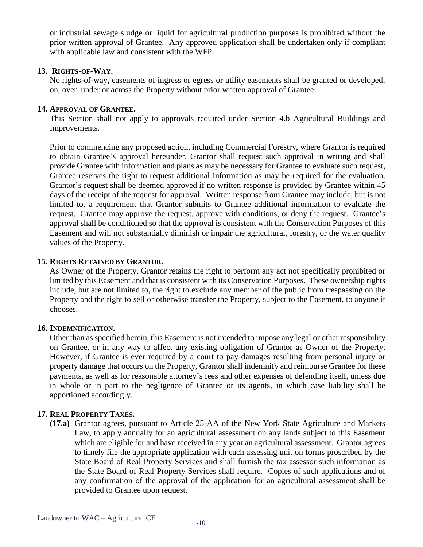or industrial sewage sludge or liquid for agricultural production purposes is prohibited without the prior written approval of Grantee. Any approved application shall be undertaken only if compliant with applicable law and consistent with the WFP.

#### **13. RIGHTS-OF-WAY.**

No rights-of-way, easements of ingress or egress or utility easements shall be granted or developed, on, over, under or across the Property without prior written approval of Grantee.

#### **14. APPROVAL OF GRANTEE.**

This Section shall not apply to approvals required under Section 4.b Agricultural Buildings and Improvements.

Prior to commencing any proposed action, including Commercial Forestry, where Grantor is required to obtain Grantee's approval hereunder, Grantor shall request such approval in writing and shall provide Grantee with information and plans as may be necessary for Grantee to evaluate such request, Grantee reserves the right to request additional information as may be required for the evaluation. Grantor's request shall be deemed approved if no written response is provided by Grantee within 45 days of the receipt of the request for approval. Written response from Grantee may include, but is not limited to, a requirement that Grantor submits to Grantee additional information to evaluate the request. Grantee may approve the request, approve with conditions, or deny the request. Grantee's approval shall be conditioned so that the approval is consistent with the Conservation Purposes of this Easement and will not substantially diminish or impair the agricultural, forestry, or the water quality values of the Property.

#### **15. RIGHTS RETAINED BY GRANTOR.**

As Owner of the Property, Grantor retains the right to perform any act not specifically prohibited or limited by this Easement and that is consistent with its Conservation Purposes. These ownership rights include, but are not limited to, the right to exclude any member of the public from trespassing on the Property and the right to sell or otherwise transfer the Property, subject to the Easement, to anyone it chooses.

#### **16. INDEMNIFICATION.**

Other than as specified herein, this Easement is not intended to impose any legal or other responsibility on Grantee, or in any way to affect any existing obligation of Grantor as Owner of the Property. However, if Grantee is ever required by a court to pay damages resulting from personal injury or property damage that occurs on the Property, Grantor shall indemnify and reimburse Grantee for these payments, as well as for reasonable attorney's fees and other expenses of defending itself, unless due in whole or in part to the negligence of Grantee or its agents, in which case liability shall be apportioned accordingly.

#### **17. REAL PROPERTY TAXES.**

**(17.a)** Grantor agrees, pursuant to Article 25-AA of the New York State Agriculture and Markets Law, to apply annually for an agricultural assessment on any lands subject to this Easement which are eligible for and have received in any year an agricultural assessment. Grantor agrees to timely file the appropriate application with each assessing unit on forms proscribed by the State Board of Real Property Services and shall furnish the tax assessor such information as the State Board of Real Property Services shall require. Copies of such applications and of any confirmation of the approval of the application for an agricultural assessment shall be provided to Grantee upon request.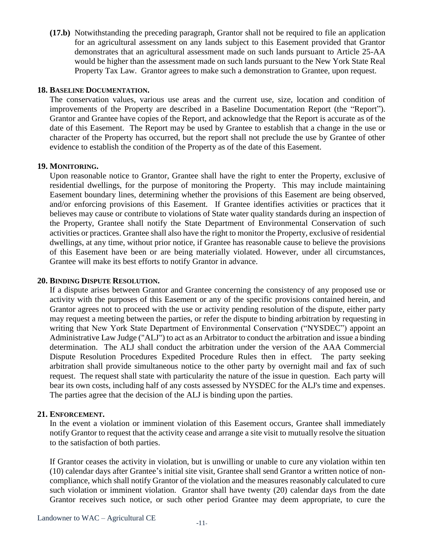**(17.b)** Notwithstanding the preceding paragraph, Grantor shall not be required to file an application for an agricultural assessment on any lands subject to this Easement provided that Grantor demonstrates that an agricultural assessment made on such lands pursuant to Article 25-AA would be higher than the assessment made on such lands pursuant to the New York State Real Property Tax Law. Grantor agrees to make such a demonstration to Grantee, upon request.

#### **18. BASELINE DOCUMENTATION.**

The conservation values, various use areas and the current use, size, location and condition of improvements of the Property are described in a Baseline Documentation Report (the "Report"). Grantor and Grantee have copies of the Report, and acknowledge that the Report is accurate as of the date of this Easement. The Report may be used by Grantee to establish that a change in the use or character of the Property has occurred, but the report shall not preclude the use by Grantee of other evidence to establish the condition of the Property as of the date of this Easement.

#### **19. MONITORING.**

Upon reasonable notice to Grantor, Grantee shall have the right to enter the Property, exclusive of residential dwellings, for the purpose of monitoring the Property. This may include maintaining Easement boundary lines, determining whether the provisions of this Easement are being observed, and/or enforcing provisions of this Easement. If Grantee identifies activities or practices that it believes may cause or contribute to violations of State water quality standards during an inspection of the Property, Grantee shall notify the State Department of Environmental Conservation of such activities or practices. Grantee shall also have the right to monitor the Property, exclusive of residential dwellings, at any time, without prior notice, if Grantee has reasonable cause to believe the provisions of this Easement have been or are being materially violated. However, under all circumstances, Grantee will make its best efforts to notify Grantor in advance.

#### **20. BINDING DISPUTE RESOLUTION.**

If a dispute arises between Grantor and Grantee concerning the consistency of any proposed use or activity with the purposes of this Easement or any of the specific provisions contained herein, and Grantor agrees not to proceed with the use or activity pending resolution of the dispute, either party may request a meeting between the parties, or refer the dispute to binding arbitration by requesting in writing that New York State Department of Environmental Conservation ("NYSDEC") appoint an Administrative Law Judge ("ALJ") to act as an Arbitrator to conduct the arbitration and issue a binding determination. The ALJ shall conduct the arbitration under the version of the AAA Commercial Dispute Resolution Procedures Expedited Procedure Rules then in effect. The party seeking arbitration shall provide simultaneous notice to the other party by overnight mail and fax of such request. The request shall state with particularity the nature of the issue in question. Each party will bear its own costs, including half of any costs assessed by NYSDEC for the ALJ's time and expenses. The parties agree that the decision of the ALJ is binding upon the parties.

#### **21. ENFORCEMENT.**

In the event a violation or imminent violation of this Easement occurs, Grantee shall immediately notify Grantor to request that the activity cease and arrange a site visit to mutually resolve the situation to the satisfaction of both parties.

If Grantor ceases the activity in violation, but is unwilling or unable to cure any violation within ten (10) calendar days after Grantee's initial site visit, Grantee shall send Grantor a written notice of noncompliance, which shall notify Grantor of the violation and the measures reasonably calculated to cure such violation or imminent violation. Grantor shall have twenty (20) calendar days from the date Grantor receives such notice, or such other period Grantee may deem appropriate, to cure the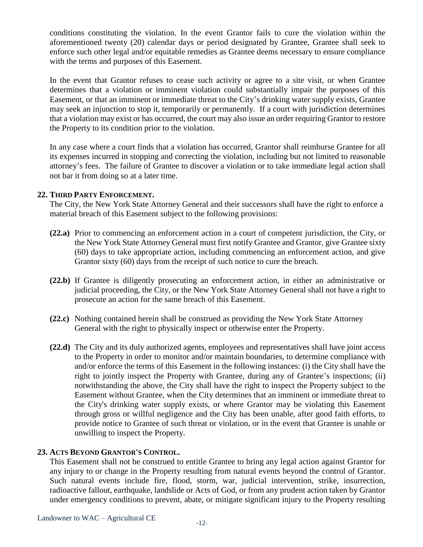conditions constituting the violation. In the event Grantor fails to cure the violation within the aforementioned twenty (20) calendar days or period designated by Grantee, Grantee shall seek to enforce such other legal and/or equitable remedies as Grantee deems necessary to ensure compliance with the terms and purposes of this Easement.

In the event that Grantor refuses to cease such activity or agree to a site visit, or when Grantee determines that a violation or imminent violation could substantially impair the purposes of this Easement, or that an imminent or immediate threat to the City's drinking water supply exists, Grantee may seek an injunction to stop it, temporarily or permanently. If a court with jurisdiction determines that a violation may exist or has occurred, the court may also issue an order requiring Grantor to restore the Property to its condition prior to the violation.

In any case where a court finds that a violation has occurred, Grantor shall reimburse Grantee for all its expenses incurred in stopping and correcting the violation, including but not limited to reasonable attorney's fees. The failure of Grantee to discover a violation or to take immediate legal action shall not bar it from doing so at a later time.

## **22. THIRD PARTY ENFORCEMENT.**

The City, the New York State Attorney General and their successors shall have the right to enforce a material breach of this Easement subject to the following provisions:

- **(22.a)** Prior to commencing an enforcement action in a court of competent jurisdiction, the City, or the New York State Attorney General must first notify Grantee and Grantor, give Grantee sixty (60) days to take appropriate action, including commencing an enforcement action, and give Grantor sixty (60) days from the receipt of such notice to cure the breach.
- **(22.b)** If Grantee is diligently prosecuting an enforcement action, in either an administrative or judicial proceeding, the City, or the New York State Attorney General shall not have a right to prosecute an action for the same breach of this Easement.
- **(22.c)** Nothing contained herein shall be construed as providing the New York State Attorney General with the right to physically inspect or otherwise enter the Property.
- **(22.d)** The City and its duly authorized agents, employees and representatives shall have joint access to the Property in order to monitor and/or maintain boundaries, to determine compliance with and/or enforce the terms of this Easement in the following instances: (i) the City shall have the right to jointly inspect the Property with Grantee, during any of Grantee's inspections; (ii) notwithstanding the above, the City shall have the right to inspect the Property subject to the Easement without Grantee, when the City determines that an imminent or immediate threat to the City's drinking water supply exists, or where Grantor may be violating this Easement through gross or willful negligence and the City has been unable, after good faith efforts, to provide notice to Grantee of such threat or violation, or in the event that Grantee is unable or unwilling to inspect the Property.

## **23. ACTS BEYOND GRANTOR'S CONTROL.**

This Easement shall not be construed to entitle Grantee to bring any legal action against Grantor for any injury to or change in the Property resulting from natural events beyond the control of Grantor. Such natural events include fire, flood, storm, war, judicial intervention, strike, insurrection, radioactive fallout, earthquake, landslide or Acts of God, or from any prudent action taken by Grantor under emergency conditions to prevent, abate, or mitigate significant injury to the Property resulting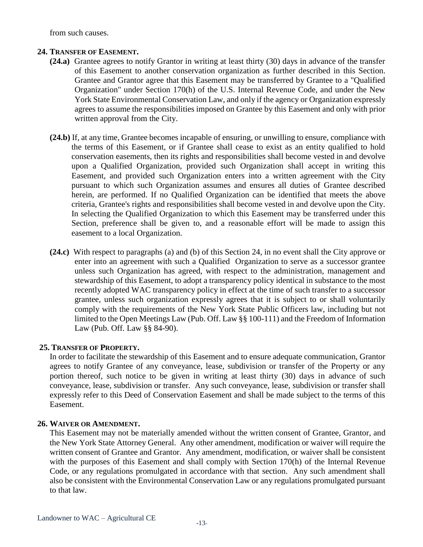from such causes.

### **24. TRANSFER OF EASEMENT.**

- **(24.a)** Grantee agrees to notify Grantor in writing at least thirty (30) days in advance of the transfer of this Easement to another conservation organization as further described in this Section. Grantee and Grantor agree that this Easement may be transferred by Grantee to a "Qualified Organization" under Section 170(h) of the U.S. Internal Revenue Code, and under the New York State Environmental Conservation Law, and only if the agency or Organization expressly agrees to assume the responsibilities imposed on Grantee by this Easement and only with prior written approval from the City.
- **(24.b)** If, at any time, Grantee becomes incapable of ensuring, or unwilling to ensure, compliance with the terms of this Easement, or if Grantee shall cease to exist as an entity qualified to hold conservation easements, then its rights and responsibilities shall become vested in and devolve upon a Qualified Organization, provided such Organization shall accept in writing this Easement, and provided such Organization enters into a written agreement with the City pursuant to which such Organization assumes and ensures all duties of Grantee described herein, are performed. If no Qualified Organization can be identified that meets the above criteria, Grantee's rights and responsibilities shall become vested in and devolve upon the City. In selecting the Qualified Organization to which this Easement may be transferred under this Section, preference shall be given to, and a reasonable effort will be made to assign this easement to a local Organization.
- **(24.c)** With respect to paragraphs (a) and (b) of this Section 24, in no event shall the City approve or enter into an agreement with such a Qualified Organization to serve as a successor grantee unless such Organization has agreed, with respect to the administration, management and stewardship of this Easement, to adopt a transparency policy identical in substance to the most recently adopted WAC transparency policy in effect at the time of such transfer to a successor grantee, unless such organization expressly agrees that it is subject to or shall voluntarily comply with the requirements of the New York State Public Officers law, including but not limited to the Open Meetings Law (Pub. Off. Law §§ 100-111) and the Freedom of Information Law (Pub. Off. Law §§ 84-90).

#### **25. TRANSFER OF PROPERTY.**

In order to facilitate the stewardship of this Easement and to ensure adequate communication, Grantor agrees to notify Grantee of any conveyance, lease, subdivision or transfer of the Property or any portion thereof, such notice to be given in writing at least thirty (30) days in advance of such conveyance, lease, subdivision or transfer. Any such conveyance, lease, subdivision or transfer shall expressly refer to this Deed of Conservation Easement and shall be made subject to the terms of this Easement.

#### **26. WAIVER OR AMENDMENT.**

This Easement may not be materially amended without the written consent of Grantee, Grantor, and the New York State Attorney General. Any other amendment, modification or waiver will require the written consent of Grantee and Grantor. Any amendment, modification, or waiver shall be consistent with the purposes of this Easement and shall comply with Section 170(h) of the Internal Revenue Code, or any regulations promulgated in accordance with that section. Any such amendment shall also be consistent with the Environmental Conservation Law or any regulations promulgated pursuant to that law.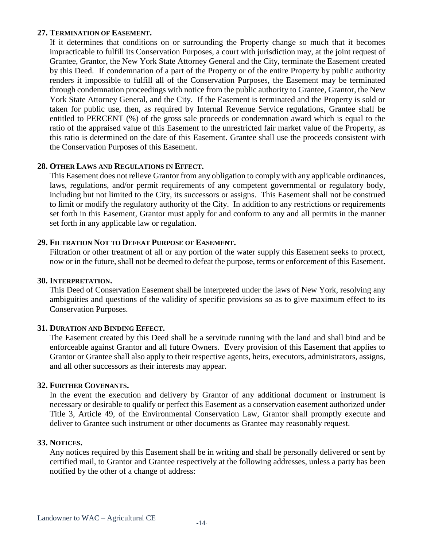## **27. TERMINATION OF EASEMENT.**

If it determines that conditions on or surrounding the Property change so much that it becomes impracticable to fulfill its Conservation Purposes, a court with jurisdiction may, at the joint request of Grantee, Grantor, the New York State Attorney General and the City, terminate the Easement created by this Deed. If condemnation of a part of the Property or of the entire Property by public authority renders it impossible to fulfill all of the Conservation Purposes, the Easement may be terminated through condemnation proceedings with notice from the public authority to Grantee, Grantor, the New York State Attorney General, and the City. If the Easement is terminated and the Property is sold or taken for public use, then, as required by Internal Revenue Service regulations, Grantee shall be entitled to PERCENT (%) of the gross sale proceeds or condemnation award which is equal to the ratio of the appraised value of this Easement to the unrestricted fair market value of the Property, as this ratio is determined on the date of this Easement. Grantee shall use the proceeds consistent with the Conservation Purposes of this Easement.

#### **28. OTHER LAWS AND REGULATIONS IN EFFECT.**

This Easement does not relieve Grantor from any obligation to comply with any applicable ordinances, laws, regulations, and/or permit requirements of any competent governmental or regulatory body, including but not limited to the City, its successors or assigns. This Easement shall not be construed to limit or modify the regulatory authority of the City. In addition to any restrictions or requirements set forth in this Easement, Grantor must apply for and conform to any and all permits in the manner set forth in any applicable law or regulation.

#### **29. FILTRATION NOT TO DEFEAT PURPOSE OF EASEMENT.**

Filtration or other treatment of all or any portion of the water supply this Easement seeks to protect, now or in the future, shall not be deemed to defeat the purpose, terms or enforcement of this Easement.

#### **30. INTERPRETATION.**

This Deed of Conservation Easement shall be interpreted under the laws of New York, resolving any ambiguities and questions of the validity of specific provisions so as to give maximum effect to its Conservation Purposes.

#### **31. DURATION AND BINDING EFFECT.**

The Easement created by this Deed shall be a servitude running with the land and shall bind and be enforceable against Grantor and all future Owners. Every provision of this Easement that applies to Grantor or Grantee shall also apply to their respective agents, heirs, executors, administrators, assigns, and all other successors as their interests may appear.

#### **32. FURTHER COVENANTS.**

In the event the execution and delivery by Grantor of any additional document or instrument is necessary or desirable to qualify or perfect this Easement as a conservation easement authorized under Title 3, Article 49, of the Environmental Conservation Law, Grantor shall promptly execute and deliver to Grantee such instrument or other documents as Grantee may reasonably request.

#### **33. NOTICES.**

Any notices required by this Easement shall be in writing and shall be personally delivered or sent by certified mail, to Grantor and Grantee respectively at the following addresses, unless a party has been notified by the other of a change of address: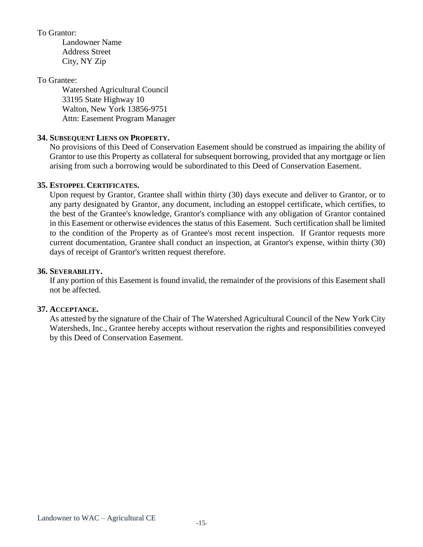### To Grantor:

Landowner Name Address Street City, NY Zip

## To Grantee:

Watershed Agricultural Council 33195 State Highway 10 Walton, New York 13856-9751 Attn: Easement Program Manager

## **34. SUBSEQUENT LIENS ON PROPERTY.**

No provisions of this Deed of Conservation Easement should be construed as impairing the ability of Grantor to use this Property as collateral for subsequent borrowing, provided that any mortgage or lien arising from such a borrowing would be subordinated to this Deed of Conservation Easement.

## **35. ESTOPPEL CERTIFICATES.**

Upon request by Grantor, Grantee shall within thirty (30) days execute and deliver to Grantor, or to any party designated by Grantor, any document, including an estoppel certificate, which certifies, to the best of the Grantee's knowledge, Grantor's compliance with any obligation of Grantor contained in this Easement or otherwise evidences the status of this Easement. Such certification shall be limited to the condition of the Property as of Grantee's most recent inspection. If Grantor requests more current documentation, Grantee shall conduct an inspection, at Grantor's expense, within thirty (30) days of receipt of Grantor's written request therefore.

# **36. SEVERABILITY.**

If any portion of this Easement is found invalid, the remainder of the provisions of this Easement shall not be affected.

## **37. ACCEPTANCE.**

As attested by the signature of the Chair of The Watershed Agricultural Council of the New York City Watersheds, Inc., Grantee hereby accepts without reservation the rights and responsibilities conveyed by this Deed of Conservation Easement.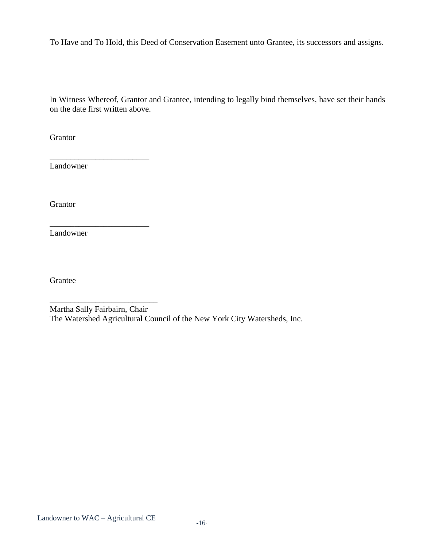To Have and To Hold, this Deed of Conservation Easement unto Grantee, its successors and assigns.

In Witness Whereof, Grantor and Grantee, intending to legally bind themselves, have set their hands on the date first written above.

**Grantor** 

Landowner

\_\_\_\_\_\_\_\_\_\_\_\_\_\_\_\_\_\_\_\_\_\_\_\_

\_\_\_\_\_\_\_\_\_\_\_\_\_\_\_\_\_\_\_\_\_\_\_\_

\_\_\_\_\_\_\_\_\_\_\_\_\_\_\_\_\_\_\_\_\_\_\_\_\_\_

Grantor

Landowner

Grantee

Martha Sally Fairbairn, Chair The Watershed Agricultural Council of the New York City Watersheds, Inc.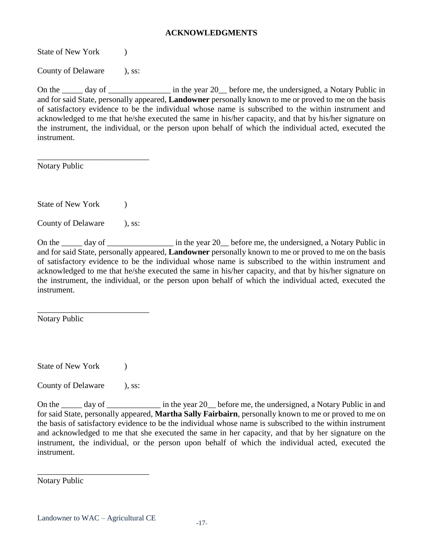#### **ACKNOWLEDGMENTS**

State of New York (b)

County of Delaware ), ss:

On the \_\_\_\_\_ day of \_\_\_\_\_\_\_\_\_\_\_\_\_\_\_\_\_ in the year 20\_\_ before me, the undersigned, a Notary Public in and for said State, personally appeared, **Landowner** personally known to me or proved to me on the basis of satisfactory evidence to be the individual whose name is subscribed to the within instrument and acknowledged to me that he/she executed the same in his/her capacity, and that by his/her signature on the instrument, the individual, or the person upon behalf of which the individual acted, executed the instrument.

Notary Public

State of New York (a)

County of Delaware ), ss:

\_\_\_\_\_\_\_\_\_\_\_\_\_\_\_\_\_\_\_\_\_\_\_\_\_\_\_

On the \_\_\_\_\_ day of \_\_\_\_\_\_\_\_\_\_\_\_\_\_\_\_\_\_ in the year 20\_\_ before me, the undersigned, a Notary Public in and for said State, personally appeared, **Landowner** personally known to me or proved to me on the basis of satisfactory evidence to be the individual whose name is subscribed to the within instrument and acknowledged to me that he/she executed the same in his/her capacity, and that by his/her signature on the instrument, the individual, or the person upon behalf of which the individual acted, executed the instrument.

Notary Public

State of New York (b)

County of Delaware ), ss:

\_\_\_\_\_\_\_\_\_\_\_\_\_\_\_\_\_\_\_\_\_\_\_\_\_\_\_

On the \_\_\_\_\_ day of \_\_\_\_\_\_\_\_\_\_\_\_\_\_ in the year 20\_\_ before me, the undersigned, a Notary Public in and for said State, personally appeared, **Martha Sally Fairbairn**, personally known to me or proved to me on the basis of satisfactory evidence to be the individual whose name is subscribed to the within instrument and acknowledged to me that she executed the same in her capacity, and that by her signature on the instrument, the individual, or the person upon behalf of which the individual acted, executed the instrument.

Notary Public

\_\_\_\_\_\_\_\_\_\_\_\_\_\_\_\_\_\_\_\_\_\_\_\_\_\_\_